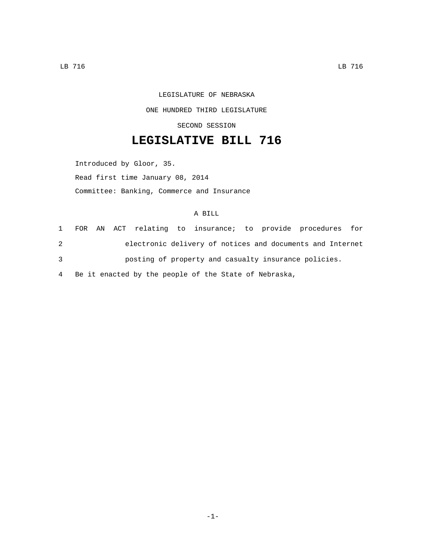## LEGISLATURE OF NEBRASKA ONE HUNDRED THIRD LEGISLATURE SECOND SESSION

## **LEGISLATIVE BILL 716**

Introduced by Gloor, 35. Read first time January 08, 2014 Committee: Banking, Commerce and Insurance

## A BILL

|   |                                                      |  |  |  |  |                                                         |  | 1 FOR AN ACT relating to insurance; to provide procedures for |  |
|---|------------------------------------------------------|--|--|--|--|---------------------------------------------------------|--|---------------------------------------------------------------|--|
| 2 |                                                      |  |  |  |  |                                                         |  | electronic delivery of notices and documents and Internet     |  |
| 3 | posting of property and casualty insurance policies. |  |  |  |  |                                                         |  |                                                               |  |
|   |                                                      |  |  |  |  | 4 Be it enacted by the people of the State of Nebraska, |  |                                                               |  |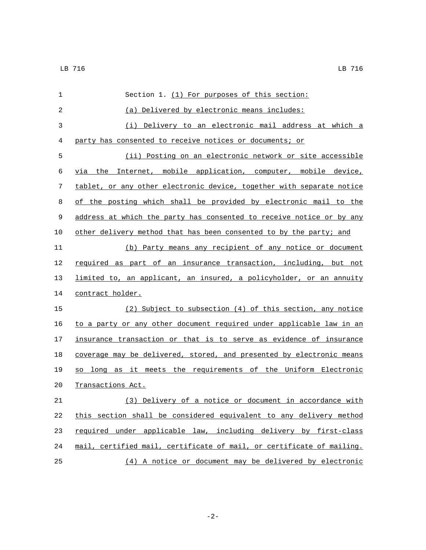| 1            | Section 1. (1) For purposes of this section:                          |
|--------------|-----------------------------------------------------------------------|
| $\mathbf{2}$ | (a) Delivered by electronic means includes:                           |
| 3            | (i) Delivery to an electronic mail address at which a                 |
| 4            | party has consented to receive notices or documents; or               |
| 5            | (ii) Posting on an electronic network or site accessible              |
| 6            | via the Internet, mobile application, computer, mobile device,        |
| 7            | tablet, or any other electronic device, together with separate notice |
| 8            | of the posting which shall be provided by electronic mail to the      |
| 9            | address at which the party has consented to receive notice or by any  |
| 10           | other delivery method that has been consented to by the party; and    |
| 11           | (b) Party means any recipient of any notice or document               |
| 12           | required as part of an insurance transaction, including, but not      |
| 13           | limited to, an applicant, an insured, a policyholder, or an annuity   |
| 14           | contract holder.                                                      |
| 15           | (2) Subject to subsection (4) of this section, any notice             |
| 16           | to a party or any other document required under applicable law in an  |
| 17           | insurance transaction or that is to serve as evidence of insurance    |
| 18           | coverage may be delivered, stored, and presented by electronic means  |
| 19           | so long as it meets the requirements of the Uniform Electronic        |
| 20           | Transactions Act.                                                     |
| 21           | (3) Delivery of a notice or document in accordance with               |
| 22           | this section shall be considered equivalent to any delivery method    |
| 23           | required under applicable law, including delivery by first-class      |
| 24           | mail, certified mail, certificate of mail, or certificate of mailing. |
| 25           | (4) A notice or document may be delivered by electronic               |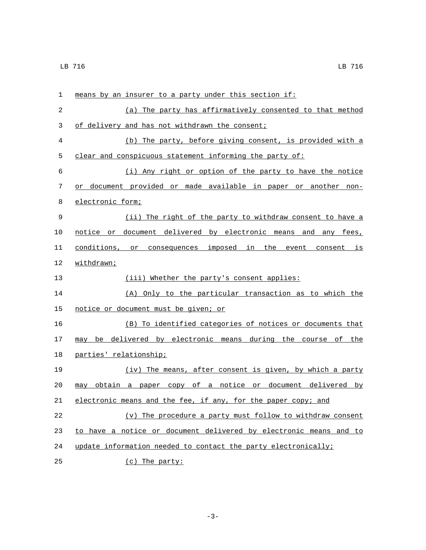| 1  | means by an insurer to a party under this section if:             |
|----|-------------------------------------------------------------------|
| 2  | (a) The party has affirmatively consented to that method          |
| 3  | of delivery and has not withdrawn the consent;                    |
| 4  | (b) The party, before giving consent, is provided with a          |
| 5  | clear and conspicuous statement informing the party of:           |
| 6  | (i) Any right or option of the party to have the notice           |
| 7  | or document provided or made available in paper or another non-   |
| 8  | electronic form;                                                  |
| 9  | (ii) The right of the party to withdraw consent to have a         |
| 10 | notice or document delivered by electronic means and any fees,    |
| 11 | conditions, or consequences imposed in the event consent is       |
| 12 | withdrawn;                                                        |
| 13 | (iii) Whether the party's consent applies:                        |
| 14 | (A) Only to the particular transaction as to which the            |
| 15 | notice or document must be given; or                              |
| 16 | (B) To identified categories of notices or documents that         |
| 17 | may be delivered by electronic means during the course of the     |
| 18 | parties' relationship;                                            |
| 19 | (iv) The means, after consent is given, by which a party          |
| 20 | may obtain a paper copy of a notice or document delivered by      |
| 21 | electronic means and the fee, if any, for the paper copy; and     |
| 22 | (v) The procedure a party must follow to withdraw consent         |
| 23 | to have a notice or document delivered by electronic means and to |
| 24 | update information needed to contact the party electronically;    |
| 25 | (c) The party:                                                    |

-3-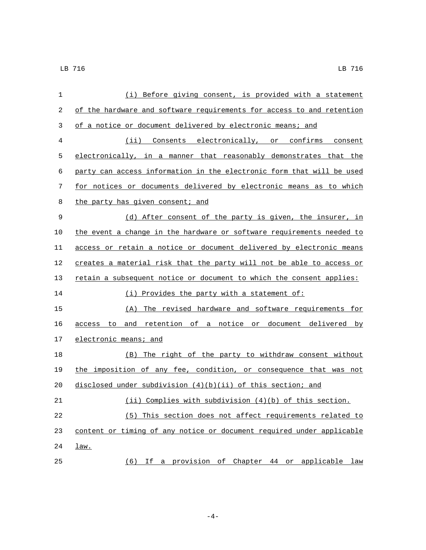| $\mathbf 1$ | (i) Before giving consent, is provided with a statement               |
|-------------|-----------------------------------------------------------------------|
| 2           | of the hardware and software requirements for access to and retention |
| 3           | of a notice or document delivered by electronic means; and            |
| 4           | (ii) Consents electronically, or confirms consent                     |
| 5           | electronically, in a manner that reasonably demonstrates that the     |
| 6           | party can access information in the electronic form that will be used |
| 7           | for notices or documents delivered by electronic means as to which    |
| 8           | the party has given consent; and                                      |
| 9           | (d) After consent of the party is given, the insurer, in              |
| 10          | the event a change in the hardware or software requirements needed to |
| 11          | access or retain a notice or document delivered by electronic means   |
| 12          | creates a material risk that the party will not be able to access or  |
| 13          | retain a subsequent notice or document to which the consent applies:  |
| 14          | (i) Provides the party with a statement of:                           |
| 15          | The revised hardware and software requirements for<br>(A)             |
| 16          | access to and retention of a notice or document delivered by          |
| 17          | electronic means; and                                                 |
| 18          | (B) The right of the party to withdraw consent without                |
| 19          | the imposition of any fee, condition, or consequence that was not     |
| 20          | disclosed under subdivision (4)(b)(ii) of this section; and           |
| 21          | (ii) Complies with subdivision $(4)(b)$ of this section.              |
| 22          | (5) This section does not affect requirements related to              |
| 23          | content or timing of any notice or document required under applicable |
| 24          | $_{law.}$                                                             |
| 25          | (6) If a provision of Chapter 44 or applicable law                    |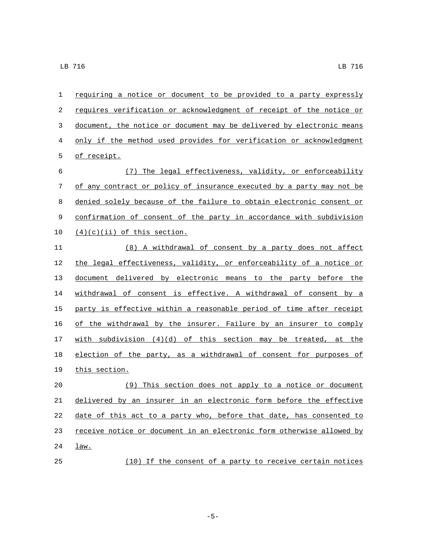| $\mathbf{1}$     | requiring a notice or document to be provided to a party expressly    |
|------------------|-----------------------------------------------------------------------|
| 2                | requires verification or acknowledgment of receipt of the notice or   |
| 3                | document, the notice or document may be delivered by electronic means |
| 4                | only if the method used provides for verification or acknowledgment   |
| 5                | <u>of receipt.</u>                                                    |
| 6                | (7) The legal effectiveness, validity, or enforceability              |
| $\boldsymbol{7}$ | of any contract or policy of insurance executed by a party may not be |
| 8                | denied solely because of the failure to obtain electronic consent or  |
| 9                | confirmation of consent of the party in accordance with subdivision   |
| 10               | $(4)(c)(ii)$ of this section.                                         |
| 11               | (8) A withdrawal of consent by a party does not affect                |
| 12               | the legal effectiveness, validity, or enforceability of a notice or   |
| 13               | document delivered by electronic means to the party before the        |
| 14               | withdrawal of consent is effective. A withdrawal of consent by a      |
| 15               | party is effective within a reasonable period of time after receipt   |
| 16               | of the withdrawal by the insurer. Failure by an insurer to comply     |
| 17               | with subdivision $(4)(d)$ of this section may be treated, at the      |
| 18               | election of the party, as a withdrawal of consent for purposes of     |
| 19               | this section.                                                         |
| 20               | (9)<br>This section does not apply to a notice or document            |
| 21               | delivered by an insurer in an electronic form before the effective    |
| 22               | date of this act to a party who, before that date, has consented to   |
| 23               | receive notice or document in an electronic form otherwise allowed by |
| 24               | <u>law.</u>                                                           |
| 25               | (10) If the consent of a party to receive certain notices             |

-5-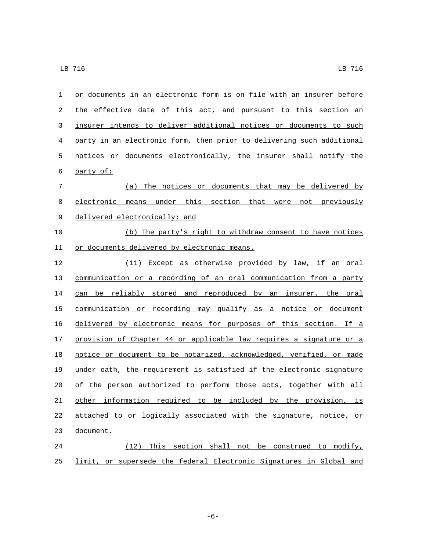| 1  | or documents in an electronic form is on file with an insurer before  |
|----|-----------------------------------------------------------------------|
| 2  | the effective date of this act, and pursuant to this section an       |
| 3  | insurer intends to deliver additional notices or documents to such    |
| 4  | party in an electronic form, then prior to delivering such additional |
| 5  | notices or documents electronically, the insurer shall notify the     |
| 6  | party of:                                                             |
| 7  | (a) The notices or documents that may be delivered by                 |
| 8  | electronic means under this section that were not previously          |
| 9  | delivered electronically; and                                         |
| 10 | (b) The party's right to withdraw consent to have notices             |
| 11 | or documents delivered by electronic means.                           |
| 12 | (11) Except as otherwise provided by law, if an oral                  |
| 13 | communication or a recording of an oral communication from a party    |
| 14 | can be reliably stored and reproduced by an insurer, the oral         |
| 15 | communication or recording may qualify as a notice or document        |
| 16 | delivered by electronic means for purposes of this section. If a      |
| 17 | provision of Chapter 44 or applicable law requires a signature or a   |
| 18 | notice or document to be notarized, acknowledged, verified, or made   |
| 19 | under oath, the requirement is satisfied if the electronic signature  |
| 20 | of the person authorized to perform those acts, together with all     |
| 21 | other information required to be included by the provision, is        |
| 22 | attached to or logically associated with the signature, notice, or    |
| 23 | document.                                                             |
| 24 | (12) This section shall not be construed to modify,                   |
| 25 | limit, or supersede the federal Electronic Signatures in Global and   |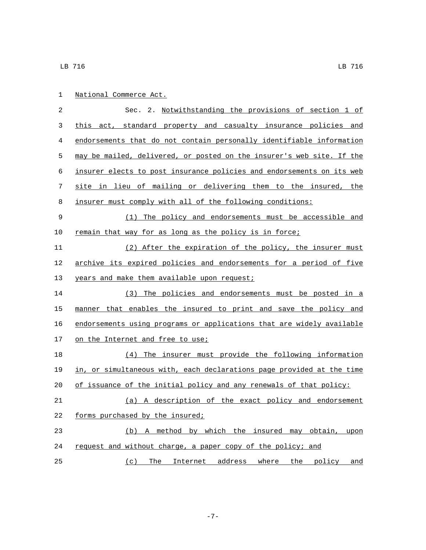|  | National Commerce Act. |  |
|--|------------------------|--|
|  |                        |  |

 Sec. 2. Notwithstanding the provisions of section 1 of this act, standard property and casualty insurance policies and endorsements that do not contain personally identifiable information may be mailed, delivered, or posted on the insurer's web site. If the insurer elects to post insurance policies and endorsements on its web site in lieu of mailing or delivering them to the insured, the insurer must comply with all of the following conditions: (1) The policy and endorsements must be accessible and remain that way for as long as the policy is in force; (2) After the expiration of the policy, the insurer must 12 archive its expired policies and endorsements for a period of five 13 years and make them available upon request; (3) The policies and endorsements must be posted in a manner that enables the insured to print and save the policy and endorsements using programs or applications that are widely available 17 on the Internet and free to use; (4) The insurer must provide the following information in, or simultaneous with, each declarations page provided at the time of issuance of the initial policy and any renewals of that policy: (a) A description of the exact policy and endorsement 22 forms purchased by the insured; (b) A method by which the insured may obtain, upon 24 request and without charge, a paper copy of the policy; and (c) The Internet address where the policy and

-7-